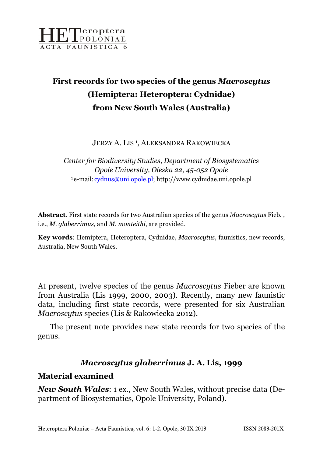

# First records for two species of the genus Macroscytus (Hemiptera: Heteroptera: Cydnidae) from New South Wales (Australia)

JERZY A. LIS<sup>1</sup>, ALEKSANDRA RAKOWIECKA

Center for Biodiversity Studies, Department of Biosystematics Opole University, Oleska 22, 45-052 Opole <sup>1</sup>e-mail: cydnus@uni.opole.pl; http://www.cydnidae.uni.opole.pl

Abstract. First state records for two Australian species of the genus Macroscytus Fieb., i.e., M. glaberrimus, and M. monteithi, are provided.

Key words: Hemiptera, Heteroptera, Cydnidae, Macroscytus, faunistics, new records, Australia, New South Wales.

At present, twelve species of the genus Macroscytus Fieber are known from Australia (Lis 1999, 2000, 2003). Recently, many new faunistic data, including first state records, were presented for six Australian Macroscytus species (Lis & Rakowiecka 2012).

 The present note provides new state records for two species of the genus.

#### Macroscytus glaberrimus J. A. Lis, 1999

#### Material examined

**New South Wales:** 1 ex., New South Wales, without precise data (Department of Biosystematics, Opole University, Poland).